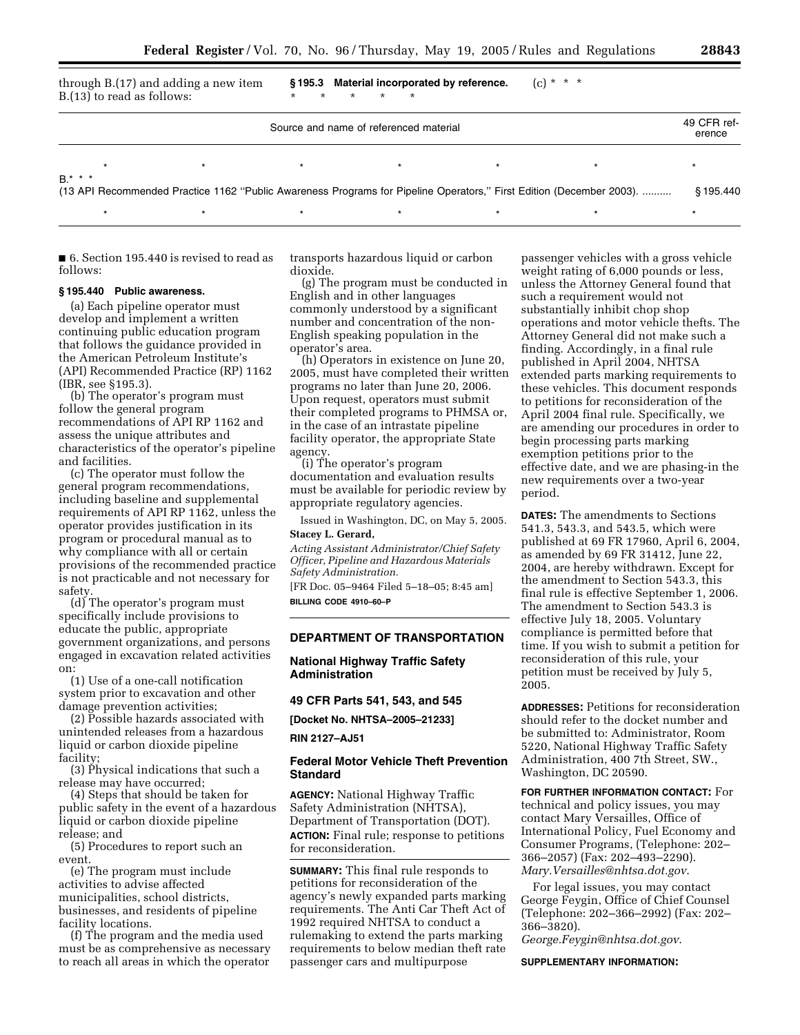|                                                                                                                      | B.(13) to read as follows: | through B.(17) and adding a new item | $\star$<br>$\star$<br>$\star$ | §195.3 Material incorporated by reference.<br>$*$ * |         | $(c) * * * *$ |                       |
|----------------------------------------------------------------------------------------------------------------------|----------------------------|--------------------------------------|-------------------------------|-----------------------------------------------------|---------|---------------|-----------------------|
| Source and name of referenced material                                                                               |                            |                                      |                               |                                                     |         |               | 49 CFR ref-<br>erence |
| $B.*$ * *                                                                                                            | $\star$                    |                                      | $\star$                       | $\star$                                             | $\star$ |               |                       |
| (13 API Recommended Practice 1162 "Public Awareness Programs for Pipeline Operators," First Edition (December 2003). |                            |                                      |                               |                                                     |         |               | § 195.440             |
|                                                                                                                      | $\star$                    | $\star$                              | $\star$                       | $\star$                                             | $\star$ |               |                       |

■ 6. Section 195.440 is revised to read as follows:

#### **§ 195.440 Public awareness.**

(a) Each pipeline operator must develop and implement a written continuing public education program that follows the guidance provided in the American Petroleum Institute's (API) Recommended Practice (RP) 1162 (IBR, see §195.3).

(b) The operator's program must follow the general program recommendations of API RP 1162 and assess the unique attributes and characteristics of the operator's pipeline and facilities.

(c) The operator must follow the general program recommendations, including baseline and supplemental requirements of API RP 1162, unless the operator provides justification in its program or procedural manual as to why compliance with all or certain provisions of the recommended practice is not practicable and not necessary for safety.

(d) The operator's program must specifically include provisions to educate the public, appropriate government organizations, and persons engaged in excavation related activities on:

(1) Use of a one-call notification system prior to excavation and other damage prevention activities;

(2) Possible hazards associated with unintended releases from a hazardous liquid or carbon dioxide pipeline facility;

(3) Physical indications that such a release may have occurred;

(4) Steps that should be taken for public safety in the event of a hazardous liquid or carbon dioxide pipeline release; and

(5) Procedures to report such an event.

(e) The program must include activities to advise affected municipalities, school districts, businesses, and residents of pipeline facility locations.

(f) The program and the media used must be as comprehensive as necessary to reach all areas in which the operator transports hazardous liquid or carbon dioxide.

(g) The program must be conducted in English and in other languages commonly understood by a significant number and concentration of the non-English speaking population in the operator's area.

(h) Operators in existence on June 20, 2005, must have completed their written programs no later than June 20, 2006. Upon request, operators must submit their completed programs to PHMSA or, in the case of an intrastate pipeline facility operator, the appropriate State agency.

(i) The operator's program documentation and evaluation results must be available for periodic review by appropriate regulatory agencies.

Issued in Washington, DC, on May 5, 2005. **Stacey L. Gerard,** 

*Acting Assistant Administrator/Chief Safety Officer, Pipeline and Hazardous Materials Safety Administration.*

[FR Doc. 05–9464 Filed 5–18–05; 8:45 am] **BILLING CODE 4910–60–P**

#### **DEPARTMENT OF TRANSPORTATION**

**National Highway Traffic Safety Administration** 

# **49 CFR Parts 541, 543, and 545**

**[Docket No. NHTSA–2005–21233]** 

**RIN 2127–AJ51** 

# **Federal Motor Vehicle Theft Prevention Standard**

**AGENCY:** National Highway Traffic Safety Administration (NHTSA), Department of Transportation (DOT). **ACTION:** Final rule; response to petitions for reconsideration.

**SUMMARY:** This final rule responds to petitions for reconsideration of the agency's newly expanded parts marking requirements. The Anti Car Theft Act of 1992 required NHTSA to conduct a rulemaking to extend the parts marking requirements to below median theft rate passenger cars and multipurpose

passenger vehicles with a gross vehicle weight rating of 6,000 pounds or less, unless the Attorney General found that such a requirement would not substantially inhibit chop shop operations and motor vehicle thefts. The Attorney General did not make such a finding. Accordingly, in a final rule published in April 2004, NHTSA extended parts marking requirements to these vehicles. This document responds to petitions for reconsideration of the April 2004 final rule. Specifically, we are amending our procedures in order to begin processing parts marking exemption petitions prior to the effective date, and we are phasing-in the new requirements over a two-year period.

**DATES:** The amendments to Sections 541.3, 543.3, and 543.5, which were published at 69 FR 17960, April 6, 2004, as amended by 69 FR 31412, June 22, 2004, are hereby withdrawn. Except for the amendment to Section 543.3, this final rule is effective September 1, 2006. The amendment to Section 543.3 is effective July 18, 2005. Voluntary compliance is permitted before that time. If you wish to submit a petition for reconsideration of this rule, your petition must be received by July 5, 2005.

**ADDRESSES:** Petitions for reconsideration should refer to the docket number and be submitted to: Administrator, Room 5220, National Highway Traffic Safety Administration, 400 7th Street, SW., Washington, DC 20590.

**FOR FURTHER INFORMATION CONTACT:** For technical and policy issues, you may contact Mary Versailles, Office of International Policy, Fuel Economy and Consumer Programs, (Telephone: 202– 366–2057) (Fax: 202–493–2290). *[Mary.Versailles@nhtsa.dot.gov](mailto:Mary.Versailles@nhtsa.dot.gov)*.

For legal issues, you may contact George Feygin, Office of Chief Counsel (Telephone: 202–366–2992) (Fax: 202– 366–3820).

*[George.Feygin@nhtsa.dot.gov](mailto:George.Feygin@nhtsa.dot.gov)*.

**SUPPLEMENTARY INFORMATION:**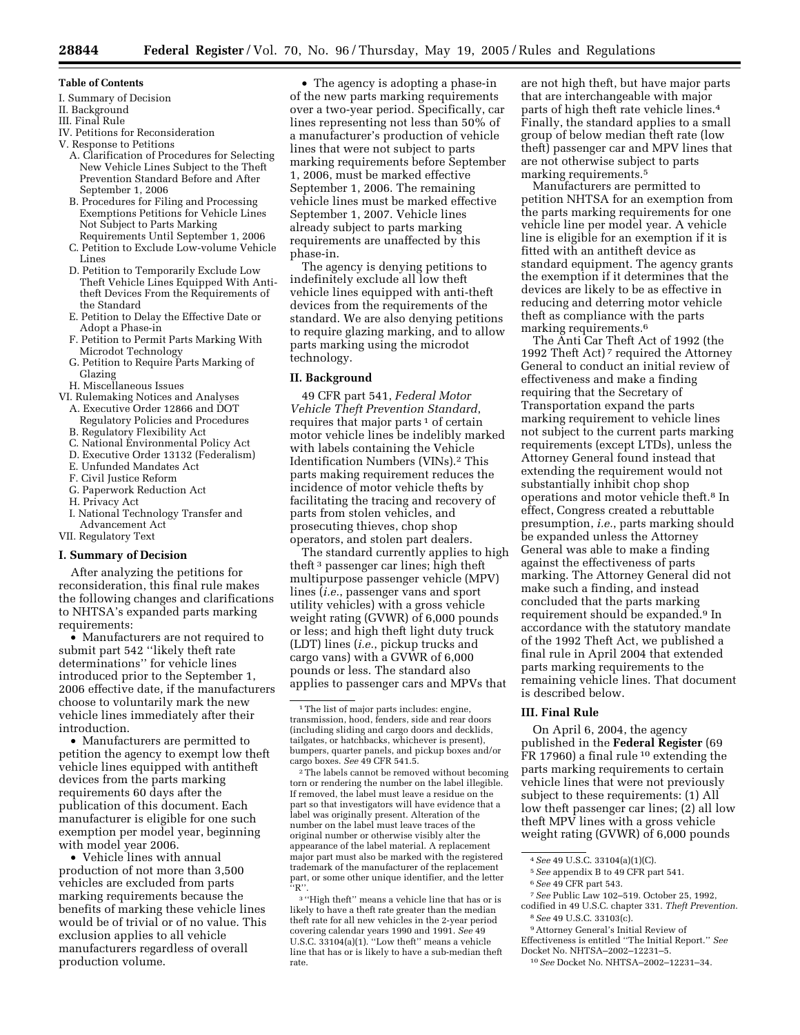#### **Table of Contents**

- I. Summary of Decision
- II. Background
- III. Final Rule
- IV. Petitions for Reconsideration
- V. Response to Petitions
	- A. Clarification of Procedures for Selecting New Vehicle Lines Subject to the Theft Prevention Standard Before and After September 1, 2006
	- B. Procedures for Filing and Processing Exemptions Petitions for Vehicle Lines Not Subject to Parts Marking Requirements Until September 1, 2006
	- C. Petition to Exclude Low-volume Vehicle Lines
	- D. Petition to Temporarily Exclude Low Theft Vehicle Lines Equipped With Antitheft Devices From the Requirements of the Standard
	- E. Petition to Delay the Effective Date or Adopt a Phase-in
	- F. Petition to Permit Parts Marking With Microdot Technology
	- G. Petition to Require Parts Marking of Glazing
- H. Miscellaneous Issues
- VI. Rulemaking Notices and Analyses
	- A. Executive Order 12866 and DOT Regulatory Policies and Procedures
	- B. Regulatory Flexibility Act
	- C. National Environmental Policy Act
	- D. Executive Order 13132 (Federalism)
	- E. Unfunded Mandates Act
	- F. Civil Justice Reform
	- G. Paperwork Reduction Act
	- H. Privacy Act
	- I. National Technology Transfer and
- Advancement Act

# VII. Regulatory Text

# **I. Summary of Decision**

After analyzing the petitions for reconsideration, this final rule makes the following changes and clarifications to NHTSA's expanded parts marking requirements:

• Manufacturers are not required to submit part 542 ''likely theft rate determinations'' for vehicle lines introduced prior to the September 1, 2006 effective date, if the manufacturers choose to voluntarily mark the new vehicle lines immediately after their introduction.

• Manufacturers are permitted to petition the agency to exempt low theft vehicle lines equipped with antitheft devices from the parts marking requirements 60 days after the publication of this document. Each manufacturer is eligible for one such exemption per model year, beginning with model year 2006.

• Vehicle lines with annual production of not more than 3,500 vehicles are excluded from parts marking requirements because the benefits of marking these vehicle lines would be of trivial or of no value. This exclusion applies to all vehicle manufacturers regardless of overall production volume.

• The agency is adopting a phase-in of the new parts marking requirements over a two-year period. Specifically, car lines representing not less than 50% of a manufacturer's production of vehicle lines that were not subject to parts marking requirements before September 1, 2006, must be marked effective September 1, 2006. The remaining vehicle lines must be marked effective September 1, 2007. Vehicle lines already subject to parts marking requirements are unaffected by this phase-in.

The agency is denying petitions to indefinitely exclude all low theft vehicle lines equipped with anti-theft devices from the requirements of the standard. We are also denying petitions to require glazing marking, and to allow parts marking using the microdot technology.

# **II. Background**

49 CFR part 541, *Federal Motor Vehicle Theft Prevention Standard*, requires that major parts<sup>1</sup> of certain motor vehicle lines be indelibly marked with labels containing the Vehicle Identification Numbers (VINs).2 This parts making requirement reduces the incidence of motor vehicle thefts by facilitating the tracing and recovery of parts from stolen vehicles, and prosecuting thieves, chop shop operators, and stolen part dealers.

The standard currently applies to high theft 3 passenger car lines; high theft multipurpose passenger vehicle (MPV) lines (*i.e.*, passenger vans and sport utility vehicles) with a gross vehicle weight rating (GVWR) of 6,000 pounds or less; and high theft light duty truck (LDT) lines (*i.e.*, pickup trucks and cargo vans) with a GVWR of 6,000 pounds or less. The standard also applies to passenger cars and MPVs that

2The labels cannot be removed without becoming torn or rendering the number on the label illegible. If removed, the label must leave a residue on the part so that investigators will have evidence that a label was originally present. Alteration of the number on the label must leave traces of the original number or otherwise visibly alter the appearance of the label material. A replacement major part must also be marked with the registered trademark of the manufacturer of the replacement part, or some other unique identifier, and the letter ''R''.

3 ''High theft'' means a vehicle line that has or is likely to have a theft rate greater than the median theft rate for all new vehicles in the 2-year period covering calendar years 1990 and 1991. *See* 49 U.S.C. 33104(a)(1). ''Low theft'' means a vehicle line that has or is likely to have a sub-median theft rate.

are not high theft, but have major parts that are interchangeable with major parts of high theft rate vehicle lines.4 Finally, the standard applies to a small group of below median theft rate (low theft) passenger car and MPV lines that are not otherwise subject to parts marking requirements.5

Manufacturers are permitted to petition NHTSA for an exemption from the parts marking requirements for one vehicle line per model year. A vehicle line is eligible for an exemption if it is fitted with an antitheft device as standard equipment. The agency grants the exemption if it determines that the devices are likely to be as effective in reducing and deterring motor vehicle theft as compliance with the parts marking requirements.6

The Anti Car Theft Act of 1992 (the 1992 Theft Act) 7 required the Attorney General to conduct an initial review of effectiveness and make a finding requiring that the Secretary of Transportation expand the parts marking requirement to vehicle lines not subject to the current parts marking requirements (except LTDs), unless the Attorney General found instead that extending the requirement would not substantially inhibit chop shop operations and motor vehicle theft.<sup>8</sup> In effect, Congress created a rebuttable presumption, *i.e.*, parts marking should be expanded unless the Attorney General was able to make a finding against the effectiveness of parts marking. The Attorney General did not make such a finding, and instead concluded that the parts marking requirement should be expanded.9 In accordance with the statutory mandate of the 1992 Theft Act, we published a final rule in April 2004 that extended parts marking requirements to the remaining vehicle lines. That document is described below.

#### **III. Final Rule**

On April 6, 2004, the agency published in the **Federal Register** (69 FR 17960) a final rule 10 extending the parts marking requirements to certain vehicle lines that were not previously subject to these requirements: (1) All low theft passenger car lines; (2) all low theft MPV lines with a gross vehicle weight rating (GVWR) of 6,000 pounds

5*See* appendix B to 49 CFR part 541.

- 7*See* Public Law 102–519. October 25, 1992,
- codified in 49 U.S.C. chapter 331. *Theft Prevention*. 8*See* 49 U.S.C. 33103(c).

9Attorney General's Initial Review of

Effectiveness is entitled ''The Initial Report.'' *See* Docket No. NHTSA–2002–12231–5.

<sup>1</sup>The list of major parts includes: engine, transmission, hood, fenders, side and rear doors (including sliding and cargo doors and decklids, tailgates, or hatchbacks, whichever is present), bumpers, quarter panels, and pickup boxes and/or cargo boxes. *See* 49 CFR 541.5.

<sup>4</sup>*See* 49 U.S.C. 33104(a)(1)(C).

<sup>6</sup>*See* 49 CFR part 543.

<sup>10</sup>*See* Docket No. NHTSA–2002–12231–34.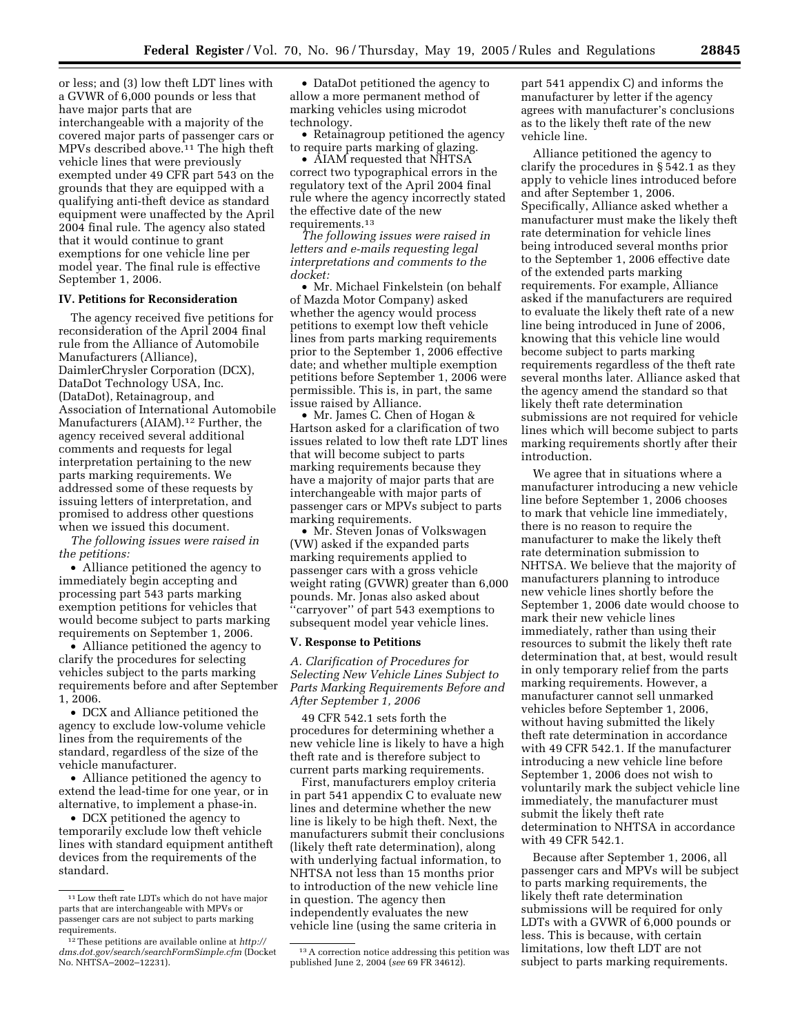or less; and (3) low theft LDT lines with a GVWR of 6,000 pounds or less that have major parts that are interchangeable with a majority of the covered major parts of passenger cars or MPVs described above.<sup>11</sup> The high theft vehicle lines that were previously exempted under 49 CFR part 543 on the grounds that they are equipped with a qualifying anti-theft device as standard equipment were unaffected by the April 2004 final rule. The agency also stated that it would continue to grant exemptions for one vehicle line per model year. The final rule is effective September 1, 2006.

#### **IV. Petitions for Reconsideration**

The agency received five petitions for reconsideration of the April 2004 final rule from the Alliance of Automobile Manufacturers (Alliance), DaimlerChrysler Corporation (DCX), DataDot Technology USA, Inc. (DataDot), Retainagroup, and Association of International Automobile Manufacturers (AIAM).<sup>12</sup> Further, the agency received several additional comments and requests for legal interpretation pertaining to the new parts marking requirements. We addressed some of these requests by issuing letters of interpretation, and promised to address other questions when we issued this document.

*The following issues were raised in the petitions:*

• Alliance petitioned the agency to immediately begin accepting and processing part 543 parts marking exemption petitions for vehicles that would become subject to parts marking requirements on September 1, 2006.

• Alliance petitioned the agency to clarify the procedures for selecting vehicles subject to the parts marking requirements before and after September 1, 2006.

• DCX and Alliance petitioned the agency to exclude low-volume vehicle lines from the requirements of the standard, regardless of the size of the vehicle manufacturer.

• Alliance petitioned the agency to extend the lead-time for one year, or in alternative, to implement a phase-in.

• DCX petitioned the agency to temporarily exclude low theft vehicle lines with standard equipment antitheft devices from the requirements of the standard.

• DataDot petitioned the agency to allow a more permanent method of marking vehicles using microdot technology.

• Retainagroup petitioned the agency to require parts marking of glazing.

• AIAM requested that NHTSA correct two typographical errors in the regulatory text of the April 2004 final rule where the agency incorrectly stated the effective date of the new requirements.13

*The following issues were raised in letters and e-mails requesting legal interpretations and comments to the docket:*

• Mr. Michael Finkelstein (on behalf of Mazda Motor Company) asked whether the agency would process petitions to exempt low theft vehicle lines from parts marking requirements prior to the September 1, 2006 effective date; and whether multiple exemption petitions before September 1, 2006 were permissible. This is, in part, the same issue raised by Alliance.

• Mr. James C. Chen of Hogan & Hartson asked for a clarification of two issues related to low theft rate LDT lines that will become subject to parts marking requirements because they have a majority of major parts that are interchangeable with major parts of passenger cars or MPVs subject to parts marking requirements.

• Mr. Steven Jonas of Volkswagen (VW) asked if the expanded parts marking requirements applied to passenger cars with a gross vehicle weight rating (GVWR) greater than 6,000 pounds. Mr. Jonas also asked about ''carryover'' of part 543 exemptions to subsequent model year vehicle lines.

#### **V. Response to Petitions**

*A. Clarification of Procedures for Selecting New Vehicle Lines Subject to Parts Marking Requirements Before and After September 1, 2006* 

49 CFR 542.1 sets forth the procedures for determining whether a new vehicle line is likely to have a high theft rate and is therefore subject to current parts marking requirements.

First, manufacturers employ criteria in part 541 appendix C to evaluate new lines and determine whether the new line is likely to be high theft. Next, the manufacturers submit their conclusions (likely theft rate determination), along with underlying factual information, to NHTSA not less than 15 months prior to introduction of the new vehicle line in question. The agency then independently evaluates the new vehicle line (using the same criteria in

part 541 appendix C) and informs the manufacturer by letter if the agency agrees with manufacturer's conclusions as to the likely theft rate of the new vehicle line.

Alliance petitioned the agency to clarify the procedures in § 542.1 as they apply to vehicle lines introduced before and after September 1, 2006. Specifically, Alliance asked whether a manufacturer must make the likely theft rate determination for vehicle lines being introduced several months prior to the September 1, 2006 effective date of the extended parts marking requirements. For example, Alliance asked if the manufacturers are required to evaluate the likely theft rate of a new line being introduced in June of 2006, knowing that this vehicle line would become subject to parts marking requirements regardless of the theft rate several months later. Alliance asked that the agency amend the standard so that likely theft rate determination submissions are not required for vehicle lines which will become subject to parts marking requirements shortly after their introduction.

We agree that in situations where a manufacturer introducing a new vehicle line before September 1, 2006 chooses to mark that vehicle line immediately, there is no reason to require the manufacturer to make the likely theft rate determination submission to NHTSA. We believe that the majority of manufacturers planning to introduce new vehicle lines shortly before the September 1, 2006 date would choose to mark their new vehicle lines immediately, rather than using their resources to submit the likely theft rate determination that, at best, would result in only temporary relief from the parts marking requirements. However, a manufacturer cannot sell unmarked vehicles before September 1, 2006, without having submitted the likely theft rate determination in accordance with 49 CFR 542.1. If the manufacturer introducing a new vehicle line before September 1, 2006 does not wish to voluntarily mark the subject vehicle line immediately, the manufacturer must submit the likely theft rate determination to NHTSA in accordance with 49 CFR 542.1.

Because after September 1, 2006, all passenger cars and MPVs will be subject to parts marking requirements, the likely theft rate determination submissions will be required for only LDTs with a GVWR of 6,000 pounds or less. This is because, with certain limitations, low theft LDT are not subject to parts marking requirements.

<sup>11</sup>Low theft rate LDTs which do not have major parts that are interchangeable with MPVs or passenger cars are not subject to parts marking requirements.

[<sup>12</sup>These petitions are available online at](http://dms.dot.gov/search/searchFormSimple.cfm) *http:// dms.dot.gov/search/searchFormSimple.cfm* (Docket No. NHTSA–2002–12231).

<sup>13</sup>A correction notice addressing this petition was published June 2, 2004 (*see* 69 FR 34612).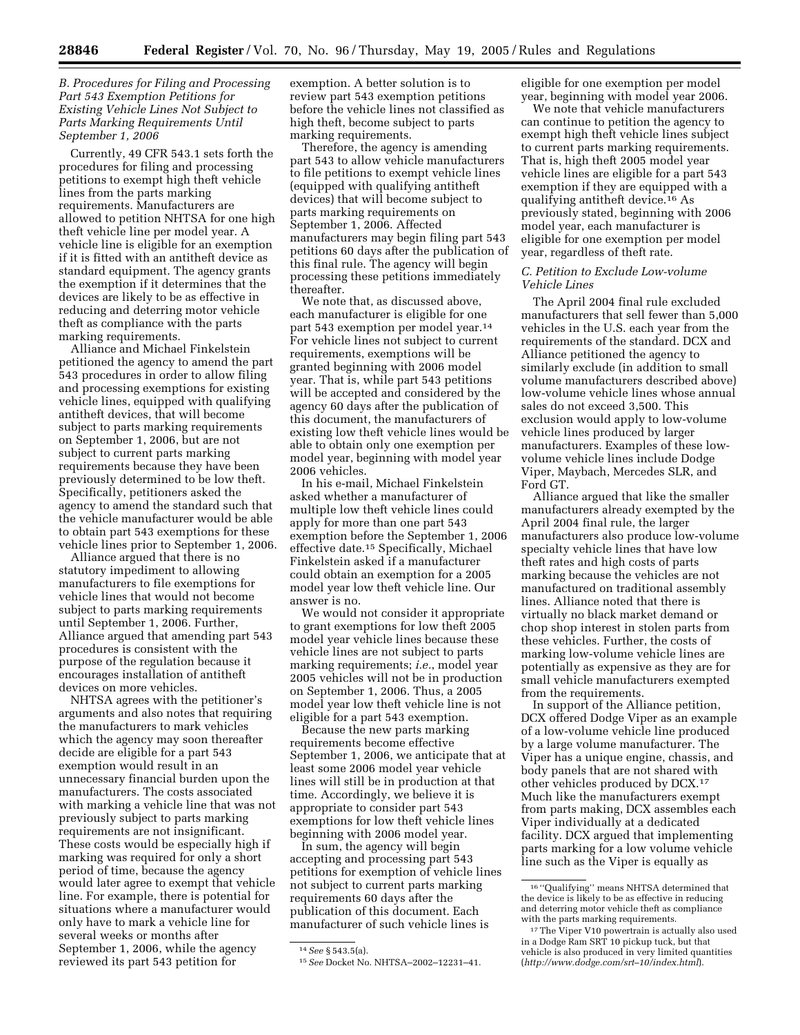# *B. Procedures for Filing and Processing Part 543 Exemption Petitions for Existing Vehicle Lines Not Subject to Parts Marking Requirements Until September 1, 2006*

Currently, 49 CFR 543.1 sets forth the procedures for filing and processing petitions to exempt high theft vehicle lines from the parts marking requirements. Manufacturers are allowed to petition NHTSA for one high theft vehicle line per model year. A vehicle line is eligible for an exemption if it is fitted with an antitheft device as standard equipment. The agency grants the exemption if it determines that the devices are likely to be as effective in reducing and deterring motor vehicle theft as compliance with the parts marking requirements.

Alliance and Michael Finkelstein petitioned the agency to amend the part 543 procedures in order to allow filing and processing exemptions for existing vehicle lines, equipped with qualifying antitheft devices, that will become subject to parts marking requirements on September 1, 2006, but are not subject to current parts marking requirements because they have been previously determined to be low theft. Specifically, petitioners asked the agency to amend the standard such that the vehicle manufacturer would be able to obtain part 543 exemptions for these vehicle lines prior to September 1, 2006.

Alliance argued that there is no statutory impediment to allowing manufacturers to file exemptions for vehicle lines that would not become subject to parts marking requirements until September 1, 2006. Further, Alliance argued that amending part 543 procedures is consistent with the purpose of the regulation because it encourages installation of antitheft devices on more vehicles.

NHTSA agrees with the petitioner's arguments and also notes that requiring the manufacturers to mark vehicles which the agency may soon thereafter decide are eligible for a part 543 exemption would result in an unnecessary financial burden upon the manufacturers. The costs associated with marking a vehicle line that was not previously subject to parts marking requirements are not insignificant. These costs would be especially high if marking was required for only a short period of time, because the agency would later agree to exempt that vehicle line. For example, there is potential for situations where a manufacturer would only have to mark a vehicle line for several weeks or months after September 1, 2006, while the agency reviewed its part 543 petition for

exemption. A better solution is to review part 543 exemption petitions before the vehicle lines not classified as high theft, become subject to parts marking requirements.

Therefore, the agency is amending part 543 to allow vehicle manufacturers to file petitions to exempt vehicle lines (equipped with qualifying antitheft devices) that will become subject to parts marking requirements on September 1, 2006. Affected manufacturers may begin filing part 543 petitions 60 days after the publication of this final rule. The agency will begin processing these petitions immediately thereafter.

We note that, as discussed above, each manufacturer is eligible for one part 543 exemption per model year.14 For vehicle lines not subject to current requirements, exemptions will be granted beginning with 2006 model year. That is, while part 543 petitions will be accepted and considered by the agency 60 days after the publication of this document, the manufacturers of existing low theft vehicle lines would be able to obtain only one exemption per model year, beginning with model year 2006 vehicles.

In his e-mail, Michael Finkelstein asked whether a manufacturer of multiple low theft vehicle lines could apply for more than one part 543 exemption before the September 1, 2006 effective date.15 Specifically, Michael Finkelstein asked if a manufacturer could obtain an exemption for a 2005 model year low theft vehicle line. Our answer is no.

We would not consider it appropriate to grant exemptions for low theft 2005 model year vehicle lines because these vehicle lines are not subject to parts marking requirements; *i.e.*, model year 2005 vehicles will not be in production on September 1, 2006. Thus, a 2005 model year low theft vehicle line is not eligible for a part 543 exemption.

Because the new parts marking requirements become effective September 1, 2006, we anticipate that at least some 2006 model year vehicle lines will still be in production at that time. Accordingly, we believe it is appropriate to consider part 543 exemptions for low theft vehicle lines beginning with 2006 model year.

In sum, the agency will begin accepting and processing part 543 petitions for exemption of vehicle lines not subject to current parts marking requirements 60 days after the publication of this document. Each manufacturer of such vehicle lines is

eligible for one exemption per model year, beginning with model year 2006.

We note that vehicle manufacturers can continue to petition the agency to exempt high theft vehicle lines subject to current parts marking requirements. That is, high theft 2005 model year vehicle lines are eligible for a part 543 exemption if they are equipped with a qualifying antitheft device.16 As previously stated, beginning with 2006 model year, each manufacturer is eligible for one exemption per model year, regardless of theft rate.

# *C. Petition to Exclude Low-volume Vehicle Lines*

The April 2004 final rule excluded manufacturers that sell fewer than 5,000 vehicles in the U.S. each year from the requirements of the standard. DCX and Alliance petitioned the agency to similarly exclude (in addition to small volume manufacturers described above) low-volume vehicle lines whose annual sales do not exceed 3,500. This exclusion would apply to low-volume vehicle lines produced by larger manufacturers. Examples of these lowvolume vehicle lines include Dodge Viper, Maybach, Mercedes SLR, and Ford GT.

Alliance argued that like the smaller manufacturers already exempted by the April 2004 final rule, the larger manufacturers also produce low-volume specialty vehicle lines that have low theft rates and high costs of parts marking because the vehicles are not manufactured on traditional assembly lines. Alliance noted that there is virtually no black market demand or chop shop interest in stolen parts from these vehicles. Further, the costs of marking low-volume vehicle lines are potentially as expensive as they are for small vehicle manufacturers exempted from the requirements.

In support of the Alliance petition, DCX offered Dodge Viper as an example of a low-volume vehicle line produced by a large volume manufacturer. The Viper has a unique engine, chassis, and body panels that are not shared with other vehicles produced by DCX.17 Much like the manufacturers exempt from parts making, DCX assembles each Viper individually at a dedicated facility. DCX argued that implementing parts marking for a low volume vehicle line such as the Viper is equally as

<sup>14</sup>*See* § 543.5(a).

<sup>15</sup>*See* Docket No. NHTSA–2002–12231–41.

<sup>16</sup> ''Qualifying'' means NHTSA determined that the device is likely to be as effective in reducing and deterring motor vehicle theft as compliance with the parts marking requirements.

<sup>17</sup>The Viper V10 powertrain is actually also used in a Dodge Ram SRT 10 pickup tuck, but that vehicle is also produced in very limited quantities (*[http://www.dodge.com/srt–10/index.htm](http://www.dodge.com/srt%E2%80%9310/index.html%00%00)l*).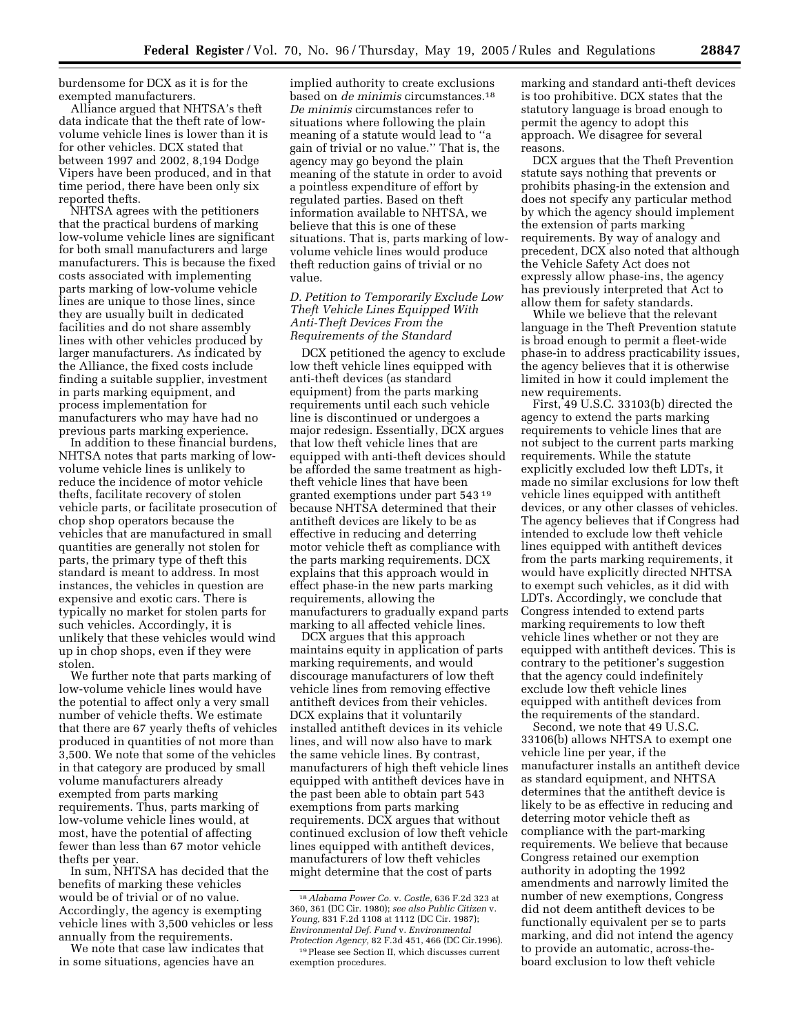burdensome for DCX as it is for the exempted manufacturers.

Alliance argued that NHTSA's theft data indicate that the theft rate of lowvolume vehicle lines is lower than it is for other vehicles. DCX stated that between 1997 and 2002, 8,194 Dodge Vipers have been produced, and in that time period, there have been only six reported thefts.

NHTSA agrees with the petitioners that the practical burdens of marking low-volume vehicle lines are significant for both small manufacturers and large manufacturers. This is because the fixed costs associated with implementing parts marking of low-volume vehicle lines are unique to those lines, since they are usually built in dedicated facilities and do not share assembly lines with other vehicles produced by larger manufacturers. As indicated by the Alliance, the fixed costs include finding a suitable supplier, investment in parts marking equipment, and process implementation for manufacturers who may have had no previous parts marking experience.

In addition to these financial burdens, NHTSA notes that parts marking of lowvolume vehicle lines is unlikely to reduce the incidence of motor vehicle thefts, facilitate recovery of stolen vehicle parts, or facilitate prosecution of chop shop operators because the vehicles that are manufactured in small quantities are generally not stolen for parts, the primary type of theft this standard is meant to address. In most instances, the vehicles in question are expensive and exotic cars. There is typically no market for stolen parts for such vehicles. Accordingly, it is unlikely that these vehicles would wind up in chop shops, even if they were stolen.

We further note that parts marking of low-volume vehicle lines would have the potential to affect only a very small number of vehicle thefts. We estimate that there are 67 yearly thefts of vehicles produced in quantities of not more than 3,500. We note that some of the vehicles in that category are produced by small volume manufacturers already exempted from parts marking requirements. Thus, parts marking of low-volume vehicle lines would, at most, have the potential of affecting fewer than less than 67 motor vehicle thefts per year.

In sum, NHTSA has decided that the benefits of marking these vehicles would be of trivial or of no value. Accordingly, the agency is exempting vehicle lines with 3,500 vehicles or less annually from the requirements.

We note that case law indicates that in some situations, agencies have an

implied authority to create exclusions based on *de minimis* circumstances.18 *De minimis* circumstances refer to situations where following the plain meaning of a statute would lead to ''a gain of trivial or no value.'' That is, the agency may go beyond the plain meaning of the statute in order to avoid a pointless expenditure of effort by regulated parties. Based on theft information available to NHTSA, we believe that this is one of these situations. That is, parts marking of lowvolume vehicle lines would produce theft reduction gains of trivial or no value.

*D. Petition to Temporarily Exclude Low Theft Vehicle Lines Equipped With Anti-Theft Devices From the Requirements of the Standard* 

DCX petitioned the agency to exclude low theft vehicle lines equipped with anti-theft devices (as standard equipment) from the parts marking requirements until each such vehicle line is discontinued or undergoes a major redesign. Essentially, DCX argues that low theft vehicle lines that are equipped with anti-theft devices should be afforded the same treatment as hightheft vehicle lines that have been granted exemptions under part 543 19 because NHTSA determined that their antitheft devices are likely to be as effective in reducing and deterring motor vehicle theft as compliance with the parts marking requirements. DCX explains that this approach would in effect phase-in the new parts marking requirements, allowing the manufacturers to gradually expand parts marking to all affected vehicle lines.

DCX argues that this approach maintains equity in application of parts marking requirements, and would discourage manufacturers of low theft vehicle lines from removing effective antitheft devices from their vehicles. DCX explains that it voluntarily installed antitheft devices in its vehicle lines, and will now also have to mark the same vehicle lines. By contrast, manufacturers of high theft vehicle lines equipped with antitheft devices have in the past been able to obtain part 543 exemptions from parts marking requirements. DCX argues that without continued exclusion of low theft vehicle lines equipped with antitheft devices, manufacturers of low theft vehicles might determine that the cost of parts

marking and standard anti-theft devices is too prohibitive. DCX states that the statutory language is broad enough to permit the agency to adopt this approach. We disagree for several reasons.

DCX argues that the Theft Prevention statute says nothing that prevents or prohibits phasing-in the extension and does not specify any particular method by which the agency should implement the extension of parts marking requirements. By way of analogy and precedent, DCX also noted that although the Vehicle Safety Act does not expressly allow phase-ins, the agency has previously interpreted that Act to allow them for safety standards.

While we believe that the relevant language in the Theft Prevention statute is broad enough to permit a fleet-wide phase-in to address practicability issues, the agency believes that it is otherwise limited in how it could implement the new requirements.

First, 49 U.S.C. 33103(b) directed the agency to extend the parts marking requirements to vehicle lines that are not subject to the current parts marking requirements. While the statute explicitly excluded low theft LDTs, it made no similar exclusions for low theft vehicle lines equipped with antitheft devices, or any other classes of vehicles. The agency believes that if Congress had intended to exclude low theft vehicle lines equipped with antitheft devices from the parts marking requirements, it would have explicitly directed NHTSA to exempt such vehicles, as it did with LDTs. Accordingly, we conclude that Congress intended to extend parts marking requirements to low theft vehicle lines whether or not they are equipped with antitheft devices. This is contrary to the petitioner's suggestion that the agency could indefinitely exclude low theft vehicle lines equipped with antitheft devices from the requirements of the standard.

Second, we note that 49 U.S.C. 33106(b) allows NHTSA to exempt one vehicle line per year, if the manufacturer installs an antitheft device as standard equipment, and NHTSA determines that the antitheft device is likely to be as effective in reducing and deterring motor vehicle theft as compliance with the part-marking requirements. We believe that because Congress retained our exemption authority in adopting the 1992 amendments and narrowly limited the number of new exemptions, Congress did not deem antitheft devices to be functionally equivalent per se to parts marking, and did not intend the agency to provide an automatic, across-theboard exclusion to low theft vehicle

<sup>18</sup>*Alabama Power Co.* v. *Costle,* 636 F.2d 323 at 360, 361 (DC Cir. 1980); *see also Public Citizen* v. *Young,* 831 F.2d 1108 at 1112 (DC Cir. 1987); *Environmental Def. Fund* v. *Environmental Protection Agency,* 82 F.3d 451, 466 (DC Cir.1996).

<sup>19</sup>Please see Section II, which discusses current exemption procedures.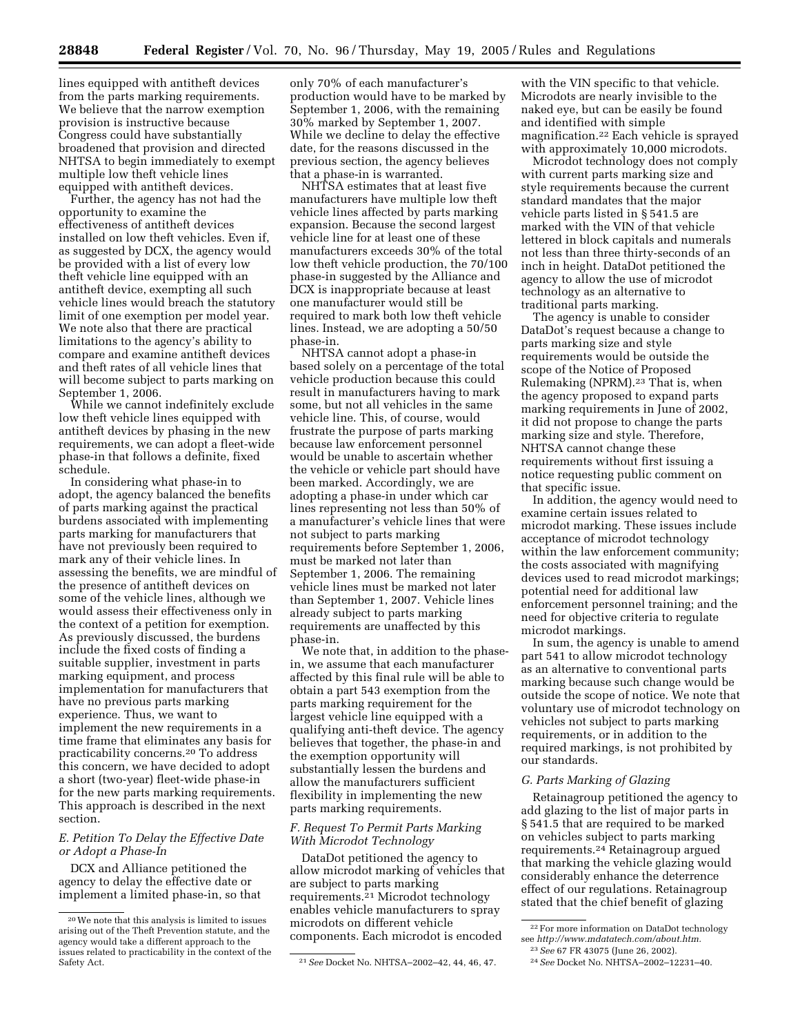lines equipped with antitheft devices from the parts marking requirements. We believe that the narrow exemption provision is instructive because Congress could have substantially broadened that provision and directed NHTSA to begin immediately to exempt multiple low theft vehicle lines equipped with antitheft devices.

Further, the agency has not had the opportunity to examine the effectiveness of antitheft devices installed on low theft vehicles. Even if, as suggested by DCX, the agency would be provided with a list of every low theft vehicle line equipped with an antitheft device, exempting all such vehicle lines would breach the statutory limit of one exemption per model year. We note also that there are practical limitations to the agency's ability to compare and examine antitheft devices and theft rates of all vehicle lines that will become subject to parts marking on September 1, 2006.

While we cannot indefinitely exclude low theft vehicle lines equipped with antitheft devices by phasing in the new requirements, we can adopt a fleet-wide phase-in that follows a definite, fixed schedule.

In considering what phase-in to adopt, the agency balanced the benefits of parts marking against the practical burdens associated with implementing parts marking for manufacturers that have not previously been required to mark any of their vehicle lines. In assessing the benefits, we are mindful of the presence of antitheft devices on some of the vehicle lines, although we would assess their effectiveness only in the context of a petition for exemption. As previously discussed, the burdens include the fixed costs of finding a suitable supplier, investment in parts marking equipment, and process implementation for manufacturers that have no previous parts marking experience. Thus, we want to implement the new requirements in a time frame that eliminates any basis for practicability concerns.20 To address this concern, we have decided to adopt a short (two-year) fleet-wide phase-in for the new parts marking requirements. This approach is described in the next section.

# *E. Petition To Delay the Effective Date or Adopt a Phase-In*

DCX and Alliance petitioned the agency to delay the effective date or implement a limited phase-in, so that only 70% of each manufacturer's production would have to be marked by September 1, 2006, with the remaining 30% marked by September 1, 2007. While we decline to delay the effective date, for the reasons discussed in the previous section, the agency believes that a phase-in is warranted.

NHTSA estimates that at least five manufacturers have multiple low theft vehicle lines affected by parts marking expansion. Because the second largest vehicle line for at least one of these manufacturers exceeds 30% of the total low theft vehicle production, the 70/100 phase-in suggested by the Alliance and DCX is inappropriate because at least one manufacturer would still be required to mark both low theft vehicle lines. Instead, we are adopting a 50/50 phase-in.

NHTSA cannot adopt a phase-in based solely on a percentage of the total vehicle production because this could result in manufacturers having to mark some, but not all vehicles in the same vehicle line. This, of course, would frustrate the purpose of parts marking because law enforcement personnel would be unable to ascertain whether the vehicle or vehicle part should have been marked. Accordingly, we are adopting a phase-in under which car lines representing not less than 50% of a manufacturer's vehicle lines that were not subject to parts marking requirements before September 1, 2006, must be marked not later than September 1, 2006. The remaining vehicle lines must be marked not later than September 1, 2007. Vehicle lines already subject to parts marking requirements are unaffected by this phase-in.

We note that, in addition to the phasein, we assume that each manufacturer affected by this final rule will be able to obtain a part 543 exemption from the parts marking requirement for the largest vehicle line equipped with a qualifying anti-theft device. The agency believes that together, the phase-in and the exemption opportunity will substantially lessen the burdens and allow the manufacturers sufficient flexibility in implementing the new parts marking requirements.

# *F. Request To Permit Parts Marking With Microdot Technology*

DataDot petitioned the agency to allow microdot marking of vehicles that are subject to parts marking requirements.<sup>21</sup> Microdot technology enables vehicle manufacturers to spray microdots on different vehicle components. Each microdot is encoded

with the VIN specific to that vehicle. Microdots are nearly invisible to the naked eye, but can be easily be found and identified with simple magnification.22 Each vehicle is sprayed with approximately 10,000 microdots.

Microdot technology does not comply with current parts marking size and style requirements because the current standard mandates that the major vehicle parts listed in § 541.5 are marked with the VIN of that vehicle lettered in block capitals and numerals not less than three thirty-seconds of an inch in height. DataDot petitioned the agency to allow the use of microdot technology as an alternative to traditional parts marking.

The agency is unable to consider DataDot's request because a change to parts marking size and style requirements would be outside the scope of the Notice of Proposed Rulemaking (NPRM).23 That is, when the agency proposed to expand parts marking requirements in June of 2002, it did not propose to change the parts marking size and style. Therefore, NHTSA cannot change these requirements without first issuing a notice requesting public comment on that specific issue.

In addition, the agency would need to examine certain issues related to microdot marking. These issues include acceptance of microdot technology within the law enforcement community; the costs associated with magnifying devices used to read microdot markings; potential need for additional law enforcement personnel training; and the need for objective criteria to regulate microdot markings.

In sum, the agency is unable to amend part 541 to allow microdot technology as an alternative to conventional parts marking because such change would be outside the scope of notice. We note that voluntary use of microdot technology on vehicles not subject to parts marking requirements, or in addition to the required markings, is not prohibited by our standards.

# *G. Parts Marking of Glazing*

Retainagroup petitioned the agency to add glazing to the list of major parts in § 541.5 that are required to be marked on vehicles subject to parts marking requirements.24 Retainagroup argued that marking the vehicle glazing would considerably enhance the deterrence effect of our regulations. Retainagroup stated that the chief benefit of glazing

<sup>20</sup>We note that this analysis is limited to issues arising out of the Theft Prevention statute, and the agency would take a different approach to the issues related to practicability in the context of the

<sup>&</sup>lt;sup>21</sup> See Docket No. NHTSA-2002-42, 44, 46, 47.

<sup>22</sup>For more information on DataDot technology see *[http://www.mdatatech.com/about.htm.](http://www.mdatatech.com/about.htm)*

<sup>23</sup>*See* 67 FR 43075 (June 26, 2002).

<sup>24</sup>*See* Docket No. NHTSA–2002–12231–40.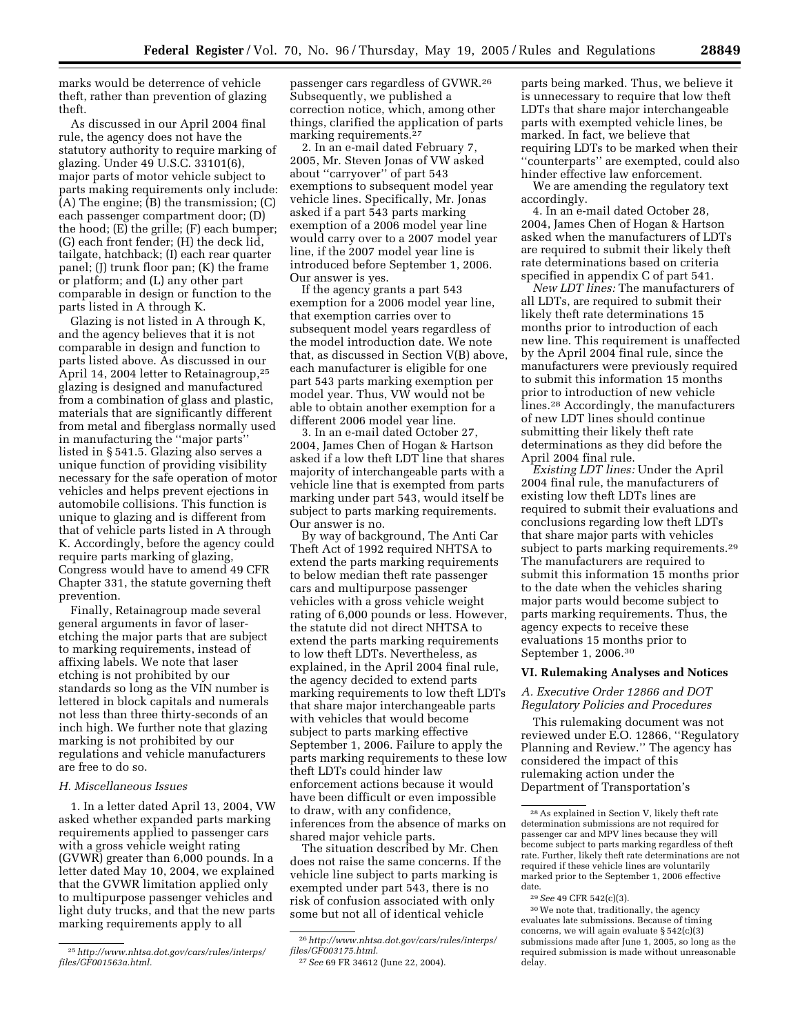marks would be deterrence of vehicle theft, rather than prevention of glazing theft.

As discussed in our April 2004 final rule, the agency does not have the statutory authority to require marking of glazing. Under 49 U.S.C. 33101(6), major parts of motor vehicle subject to parts making requirements only include: (A) The engine; (B) the transmission; (C) each passenger compartment door; (D) the hood; (E) the grille; (F) each bumper; (G) each front fender; (H) the deck lid, tailgate, hatchback; (I) each rear quarter panel; (J) trunk floor pan; (K) the frame or platform; and (L) any other part comparable in design or function to the parts listed in A through K.

Glazing is not listed in A through K, and the agency believes that it is not comparable in design and function to parts listed above. As discussed in our April 14, 2004 letter to Retainagroup,25 glazing is designed and manufactured from a combination of glass and plastic, materials that are significantly different from metal and fiberglass normally used in manufacturing the ''major parts'' listed in § 541.5. Glazing also serves a unique function of providing visibility necessary for the safe operation of motor vehicles and helps prevent ejections in automobile collisions. This function is unique to glazing and is different from that of vehicle parts listed in A through K. Accordingly, before the agency could require parts marking of glazing, Congress would have to amend 49 CFR Chapter 331, the statute governing theft prevention.

Finally, Retainagroup made several general arguments in favor of laseretching the major parts that are subject to marking requirements, instead of affixing labels. We note that laser etching is not prohibited by our standards so long as the VIN number is lettered in block capitals and numerals not less than three thirty-seconds of an inch high. We further note that glazing marking is not prohibited by our regulations and vehicle manufacturers are free to do so.

## *H. Miscellaneous Issues*

1. In a letter dated April 13, 2004, VW asked whether expanded parts marking requirements applied to passenger cars with a gross vehicle weight rating (GVWR) greater than 6,000 pounds. In a letter dated May 10, 2004, we explained that the GVWR limitation applied only to multipurpose passenger vehicles and light duty trucks, and that the new parts marking requirements apply to all

passenger cars regardless of GVWR.26 Subsequently, we published a correction notice, which, among other things, clarified the application of parts marking requirements.<sup>27</sup>

2. In an e-mail dated February 7, 2005, Mr. Steven Jonas of VW asked about ''carryover'' of part 543 exemptions to subsequent model year vehicle lines. Specifically, Mr. Jonas asked if a part 543 parts marking exemption of a 2006 model year line would carry over to a 2007 model year line, if the 2007 model year line is introduced before September 1, 2006. Our answer is yes.

If the agency grants a part 543 exemption for a 2006 model year line, that exemption carries over to subsequent model years regardless of the model introduction date. We note that, as discussed in Section V(B) above, each manufacturer is eligible for one part 543 parts marking exemption per model year. Thus, VW would not be able to obtain another exemption for a different 2006 model year line.

3. In an e-mail dated October 27, 2004, James Chen of Hogan & Hartson asked if a low theft LDT line that shares majority of interchangeable parts with a vehicle line that is exempted from parts marking under part 543, would itself be subject to parts marking requirements. Our answer is no.

By way of background, The Anti Car Theft Act of 1992 required NHTSA to extend the parts marking requirements to below median theft rate passenger cars and multipurpose passenger vehicles with a gross vehicle weight rating of 6,000 pounds or less. However, the statute did not direct NHTSA to extend the parts marking requirements to low theft LDTs. Nevertheless, as explained, in the April 2004 final rule, the agency decided to extend parts marking requirements to low theft LDTs that share major interchangeable parts with vehicles that would become subject to parts marking effective September 1, 2006. Failure to apply the parts marking requirements to these low theft LDTs could hinder law enforcement actions because it would have been difficult or even impossible to draw, with any confidence, inferences from the absence of marks on shared major vehicle parts.

The situation described by Mr. Chen does not raise the same concerns. If the vehicle line subject to parts marking is exempted under part 543, there is no risk of confusion associated with only some but not all of identical vehicle

parts being marked. Thus, we believe it is unnecessary to require that low theft LDTs that share major interchangeable parts with exempted vehicle lines, be marked. In fact, we believe that requiring LDTs to be marked when their ''counterparts'' are exempted, could also hinder effective law enforcement.

We are amending the regulatory text accordingly.

4. In an e-mail dated October 28, 2004, James Chen of Hogan & Hartson asked when the manufacturers of LDTs are required to submit their likely theft rate determinations based on criteria specified in appendix C of part 541.

*New LDT lines:* The manufacturers of all LDTs, are required to submit their likely theft rate determinations 15 months prior to introduction of each new line. This requirement is unaffected by the April 2004 final rule, since the manufacturers were previously required to submit this information 15 months prior to introduction of new vehicle lines.28 Accordingly, the manufacturers of new LDT lines should continue submitting their likely theft rate determinations as they did before the April 2004 final rule.

*Existing LDT lines:* Under the April 2004 final rule, the manufacturers of existing low theft LDTs lines are required to submit their evaluations and conclusions regarding low theft LDTs that share major parts with vehicles subject to parts marking requirements.29 The manufacturers are required to submit this information 15 months prior to the date when the vehicles sharing major parts would become subject to parts marking requirements. Thus, the agency expects to receive these evaluations 15 months prior to September 1, 2006.30

#### **VI. Rulemaking Analyses and Notices**

# *A. Executive Order 12866 and DOT Regulatory Policies and Procedures*

This rulemaking document was not reviewed under E.O. 12866, ''Regulatory Planning and Review.'' The agency has considered the impact of this rulemaking action under the Department of Transportation's

<sup>25</sup>*[http://www.nhtsa.dot.gov/cars/rules/interps/](http://www.nhtsa.dot.gov/cars/rules/interps/files/GF001563a.html) files/GF001563a.html.*

<sup>26</sup>*[http://www.nhtsa.dot.gov/cars/rules/interps/](http://www.nhtsa.dot.gov/cars/rules/interps/files/GF003175.html) files/GF003175.html.*

<sup>27</sup>*See* 69 FR 34612 (June 22, 2004).

<sup>28</sup>As explained in Section V, likely theft rate determination submissions are not required for passenger car and MPV lines because they will become subject to parts marking regardless of theft rate. Further, likely theft rate determinations are not required if these vehicle lines are voluntarily marked prior to the September 1, 2006 effective date.

<sup>29</sup>*See* 49 CFR 542(c)(3).

<sup>30</sup>We note that, traditionally, the agency evaluates late submissions. Because of timing concerns, we will again evaluate § 542(c)(3) submissions made after June 1, 2005, so long as the required submission is made without unreasonable delay.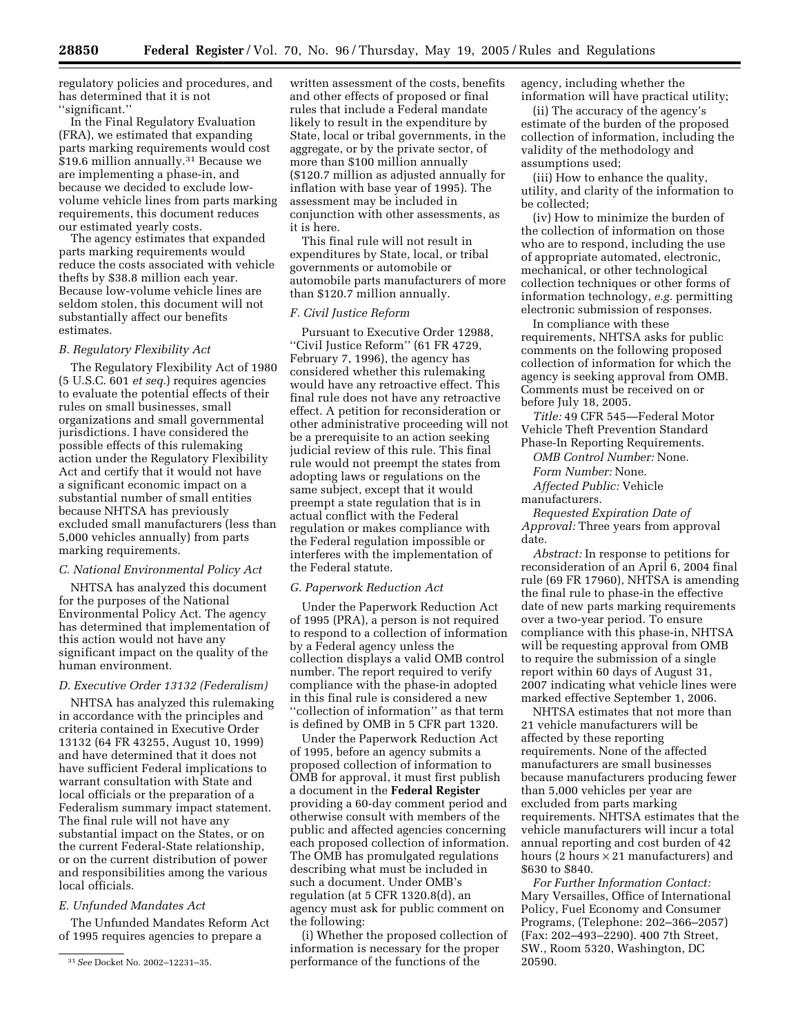regulatory policies and procedures, and has determined that it is not ''significant.''

In the Final Regulatory Evaluation (FRA), we estimated that expanding parts marking requirements would cost \$19.6 million annually.<sup>31</sup> Because we are implementing a phase-in, and because we decided to exclude lowvolume vehicle lines from parts marking requirements, this document reduces our estimated yearly costs.

The agency estimates that expanded parts marking requirements would reduce the costs associated with vehicle thefts by \$38.8 million each year. Because low-volume vehicle lines are seldom stolen, this document will not substantially affect our benefits estimates.

## *B. Regulatory Flexibility Act*

The Regulatory Flexibility Act of 1980 (5 U.S.C. 601 *et seq.*) requires agencies to evaluate the potential effects of their rules on small businesses, small organizations and small governmental jurisdictions. I have considered the possible effects of this rulemaking action under the Regulatory Flexibility Act and certify that it would not have a significant economic impact on a substantial number of small entities because NHTSA has previously excluded small manufacturers (less than 5,000 vehicles annually) from parts marking requirements.

#### *C. National Environmental Policy Act*

NHTSA has analyzed this document for the purposes of the National Environmental Policy Act. The agency has determined that implementation of this action would not have any significant impact on the quality of the human environment.

# *D. Executive Order 13132 (Federalism)*

NHTSA has analyzed this rulemaking in accordance with the principles and criteria contained in Executive Order 13132 (64 FR 43255, August 10, 1999) and have determined that it does not have sufficient Federal implications to warrant consultation with State and local officials or the preparation of a Federalism summary impact statement. The final rule will not have any substantial impact on the States, or on the current Federal-State relationship, or on the current distribution of power and responsibilities among the various local officials.

# *E. Unfunded Mandates Act*

The Unfunded Mandates Reform Act of 1995 requires agencies to prepare a

written assessment of the costs, benefits and other effects of proposed or final rules that include a Federal mandate likely to result in the expenditure by State, local or tribal governments, in the aggregate, or by the private sector, of more than \$100 million annually (\$120.7 million as adjusted annually for inflation with base year of 1995). The assessment may be included in conjunction with other assessments, as it is here.

This final rule will not result in expenditures by State, local, or tribal governments or automobile or automobile parts manufacturers of more than \$120.7 million annually.

# *F. Civil Justice Reform*

Pursuant to Executive Order 12988, ''Civil Justice Reform'' (61 FR 4729, February 7, 1996), the agency has considered whether this rulemaking would have any retroactive effect. This final rule does not have any retroactive effect. A petition for reconsideration or other administrative proceeding will not be a prerequisite to an action seeking judicial review of this rule. This final rule would not preempt the states from adopting laws or regulations on the same subject, except that it would preempt a state regulation that is in actual conflict with the Federal regulation or makes compliance with the Federal regulation impossible or interferes with the implementation of the Federal statute.

#### *G. Paperwork Reduction Act*

Under the Paperwork Reduction Act of 1995 (PRA), a person is not required to respond to a collection of information by a Federal agency unless the collection displays a valid OMB control number. The report required to verify compliance with the phase-in adopted in this final rule is considered a new ''collection of information'' as that term is defined by OMB in 5 CFR part 1320.

Under the Paperwork Reduction Act of 1995, before an agency submits a proposed collection of information to OMB for approval, it must first publish a document in the **Federal Register** providing a 60-day comment period and otherwise consult with members of the public and affected agencies concerning each proposed collection of information. The OMB has promulgated regulations describing what must be included in such a document. Under OMB's regulation (at 5 CFR 1320.8(d), an agency must ask for public comment on the following:

(i) Whether the proposed collection of information is necessary for the proper performance of the functions of the

agency, including whether the information will have practical utility;

(ii) The accuracy of the agency's estimate of the burden of the proposed collection of information, including the validity of the methodology and assumptions used;

(iii) How to enhance the quality, utility, and clarity of the information to be collected;

(iv) How to minimize the burden of the collection of information on those who are to respond, including the use of appropriate automated, electronic, mechanical, or other technological collection techniques or other forms of information technology, *e.g.* permitting electronic submission of responses.

In compliance with these requirements, NHTSA asks for public comments on the following proposed collection of information for which the agency is seeking approval from OMB. Comments must be received on or before July 18, 2005.

*Title:* 49 CFR 545—Federal Motor Vehicle Theft Prevention Standard Phase-In Reporting Requirements.

*OMB Control Number:* None. *Form Number:* None. *Affected Public:* Vehicle

manufacturers.

*Requested Expiration Date of Approval:* Three years from approval date.

*Abstract:* In response to petitions for reconsideration of an April 6, 2004 final rule (69 FR 17960), NHTSA is amending the final rule to phase-in the effective date of new parts marking requirements over a two-year period. To ensure compliance with this phase-in, NHTSA will be requesting approval from OMB to require the submission of a single report within 60 days of August 31, 2007 indicating what vehicle lines were marked effective September 1, 2006.

NHTSA estimates that not more than 21 vehicle manufacturers will be affected by these reporting requirements. None of the affected manufacturers are small businesses because manufacturers producing fewer than 5,000 vehicles per year are excluded from parts marking requirements. NHTSA estimates that the vehicle manufacturers will incur a total annual reporting and cost burden of 42 hours (2 hours  $\times$  21 manufacturers) and \$630 to \$840.

*For Further Information Contact:* Mary Versailles, Office of International Policy, Fuel Economy and Consumer Programs, (Telephone: 202–366–2057) (Fax: 202–493–2290). 400 7th Street, SW., Room 5320, Washington, DC 20590.

<sup>31</sup>*See* Docket No. 2002–12231–35.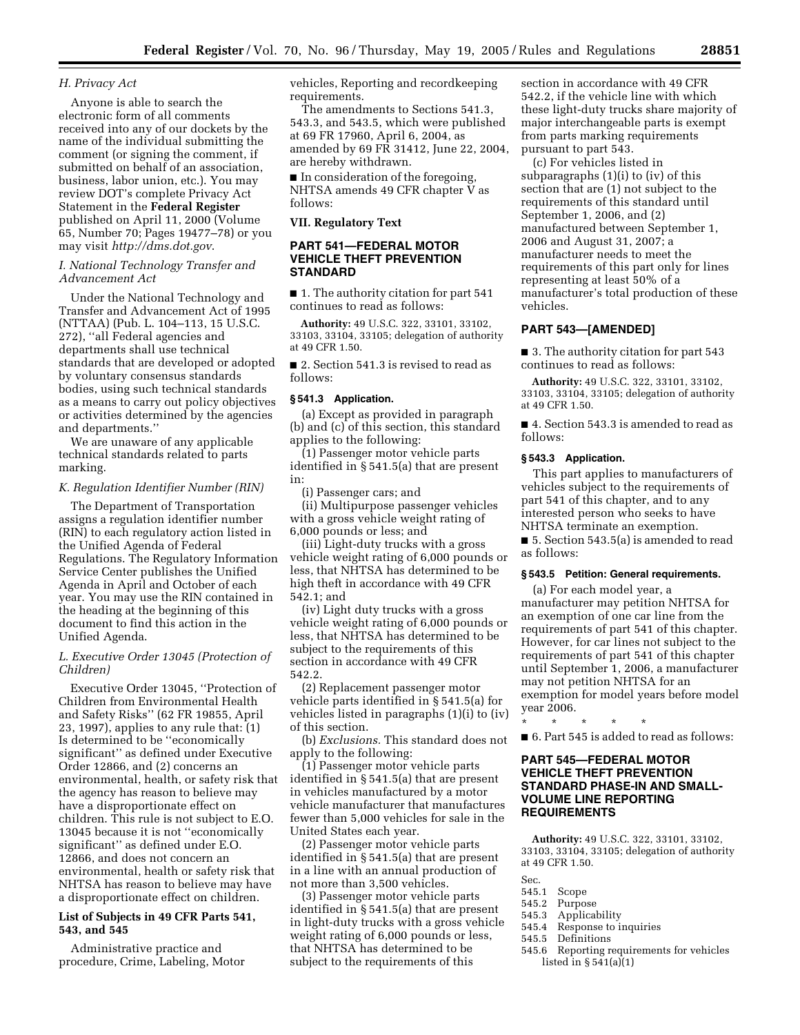## *H. Privacy Act*

Anyone is able to search the electronic form of all comments received into any of our dockets by the name of the individual submitting the comment (or signing the comment, if submitted on behalf of an association, business, labor union, etc.). You may review DOT's complete Privacy Act Statement in the **Federal Register** published on April 11, 2000 (Volume 65, Number 70; Pages 19477–78) or you may visit *<http://dms.dot.gov>*.

# *I. National Technology Transfer and Advancement Act*

Under the National Technology and Transfer and Advancement Act of 1995 (NTTAA) (Pub. L. 104–113, 15 U.S.C. 272), ''all Federal agencies and departments shall use technical standards that are developed or adopted by voluntary consensus standards bodies, using such technical standards as a means to carry out policy objectives or activities determined by the agencies and departments.''

We are unaware of any applicable technical standards related to parts marking.

# *K. Regulation Identifier Number (RIN)*

The Department of Transportation assigns a regulation identifier number (RIN) to each regulatory action listed in the Unified Agenda of Federal Regulations. The Regulatory Information Service Center publishes the Unified Agenda in April and October of each year. You may use the RIN contained in the heading at the beginning of this document to find this action in the Unified Agenda.

# *L. Executive Order 13045 (Protection of Children)*

Executive Order 13045, ''Protection of Children from Environmental Health and Safety Risks'' (62 FR 19855, April 23, 1997), applies to any rule that: (1) Is determined to be ''economically significant'' as defined under Executive Order 12866, and (2) concerns an environmental, health, or safety risk that the agency has reason to believe may have a disproportionate effect on children. This rule is not subject to E.O. 13045 because it is not ''economically significant'' as defined under E.O. 12866, and does not concern an environmental, health or safety risk that NHTSA has reason to believe may have a disproportionate effect on children.

# **List of Subjects in 49 CFR Parts 541, 543, and 545**

Administrative practice and procedure, Crime, Labeling, Motor

vehicles, Reporting and recordkeeping requirements.

The amendments to Sections 541.3, 543.3, and 543.5, which were published at 69 FR 17960, April 6, 2004, as amended by 69 FR 31412, June 22, 2004, are hereby withdrawn.

■ In consideration of the foregoing, NHTSA amends 49 CFR chapter V as follows:

#### **VII. Regulatory Text**

# **PART 541—FEDERAL MOTOR VEHICLE THEFT PREVENTION STANDARD**

■ 1. The authority citation for part 541 continues to read as follows:

**Authority:** 49 U.S.C. 322, 33101, 33102, 33103, 33104, 33105; delegation of authority at 49 CFR 1.50.

■ 2. Section 541.3 is revised to read as follows:

#### **§ 541.3 Application.**

(a) Except as provided in paragraph (b) and (c) of this section, this standard applies to the following:

(1) Passenger motor vehicle parts identified in § 541.5(a) that are present in:

(i) Passenger cars; and

(ii) Multipurpose passenger vehicles with a gross vehicle weight rating of 6,000 pounds or less; and

(iii) Light-duty trucks with a gross vehicle weight rating of 6,000 pounds or less, that NHTSA has determined to be high theft in accordance with 49 CFR 542.1; and

(iv) Light duty trucks with a gross vehicle weight rating of 6,000 pounds or less, that NHTSA has determined to be subject to the requirements of this section in accordance with 49 CFR 542.2.

(2) Replacement passenger motor vehicle parts identified in § 541.5(a) for vehicles listed in paragraphs (1)(i) to (iv) of this section.

(b) *Exclusions.* This standard does not apply to the following:

(1) Passenger motor vehicle parts identified in § 541.5(a) that are present in vehicles manufactured by a motor vehicle manufacturer that manufactures fewer than 5,000 vehicles for sale in the United States each year.

(2) Passenger motor vehicle parts identified in § 541.5(a) that are present in a line with an annual production of not more than 3,500 vehicles.

(3) Passenger motor vehicle parts identified in § 541.5(a) that are present in light-duty trucks with a gross vehicle weight rating of 6,000 pounds or less, that NHTSA has determined to be subject to the requirements of this

section in accordance with 49 CFR 542.2, if the vehicle line with which these light-duty trucks share majority of major interchangeable parts is exempt from parts marking requirements pursuant to part 543.

(c) For vehicles listed in subparagraphs (1)(i) to (iv) of this section that are (1) not subject to the requirements of this standard until September 1, 2006, and (2) manufactured between September 1, 2006 and August 31, 2007; a manufacturer needs to meet the requirements of this part only for lines representing at least 50% of a manufacturer's total production of these vehicles.

#### **PART 543—[AMENDED]**

■ 3. The authority citation for part 543 continues to read as follows:

**Authority:** 49 U.S.C. 322, 33101, 33102, 33103, 33104, 33105; delegation of authority at 49 CFR 1.50.

■ 4. Section 543.3 is amended to read as follows:

# **§ 543.3 Application.**

This part applies to manufacturers of vehicles subject to the requirements of part 541 of this chapter, and to any interested person who seeks to have NHTSA terminate an exemption. ■ 5. Section 543.5(a) is amended to read as follows:

#### **§ 543.5 Petition: General requirements.**

(a) For each model year, a manufacturer may petition NHTSA for an exemption of one car line from the requirements of part 541 of this chapter. However, for car lines not subject to the requirements of part 541 of this chapter until September 1, 2006, a manufacturer may not petition NHTSA for an exemption for model years before model year 2006.

\* \* \* \* \*

■ 6. Part 545 is added to read as follows:

# **PART 545—FEDERAL MOTOR VEHICLE THEFT PREVENTION STANDARD PHASE-IN AND SMALL-VOLUME LINE REPORTING REQUIREMENTS**

**Authority:** 49 U.S.C. 322, 33101, 33102, 33103, 33104, 33105; delegation of authority at 49 CFR 1.50.

- Sec.<br>545.1
- 545.1 Scope<br>545.2 Purpos
- 545.2 Purpose
- 545.3 Applicability<br>545.4 Response to in
- 545.4 Response to inquiries<br>545.5 Definitions
- 545.5 Definitions<br>545.6 Reporting r
- 545.6 Reporting requirements for vehicles listed in  $\S 541(a)(1)$